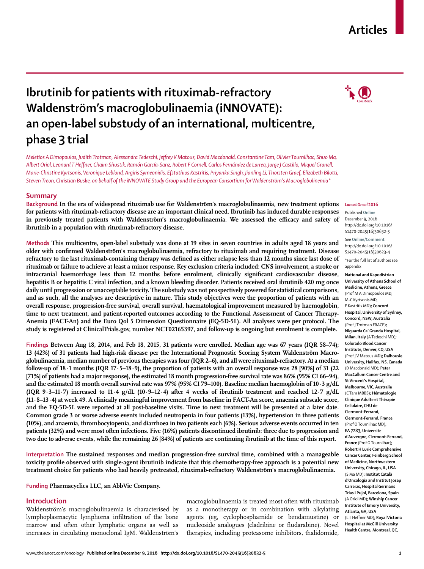## **Articles**

# **Ibrutinib for patients with rituximab-refractory Waldenström's macro globulinaemia (iNNOVATE): an open-label substudy of an international, multicentre, phase 3 trial**

*Meletios A Dimopoulos, Judith Trotman, Alessandra Tedeschi, Jeff rey V Matous, David Macdonald, Constantine Tam, Olivier Tournilhac, Shuo Ma, Albert Oriol, Leonard T Heff ner, Chaim Shustik, Ramón García-Sanz, Robert F Cornell, Carlos Fernández de Larrea, Jorge J Castillo, Miquel Granell, Marie-Christine Kyrtsonis, Veronique Leblond, Argiris Symeonidis, Efstathios Kastritis, Priyanka Singh, Jianling Li, Thorsten Graef, Elizabeth Bilotti, Steven Treon, Christian Buske, on behalf of the iNNOVATE Study Group and the European Consortium for Waldenström's Macroglobulinemia\**

## **Summary**

Background In the era of widespread rituximab use for Waldenström's macroglobulinaemia, new treatment options **for patients with rituximab-refractory disease are an important clinical need. Ibrutinib has induced durable responses**  in previously treated patients with Waldenström's macroglobulinaemia. We assessed the efficacy and safety of **ibrutinib in a population with rituximab-refractory disease.**

**Methods This multicentre, open-label substudy was done at 19 sites in seven countries in adults aged 18 years and**  older with confirmed Waldenström's macroglobulinaemia, refractory to rituximab and requiring treatment. Disease refractory to the last rituximab-containing therapy was defined as either relapse less than 12 months since last dose of **rituximab or failure to achieve at least a minor response. Key exclusion criteria included: CNS involvement, a stroke or**  intracranial haemorrhage less than 12 months before enrolment, clinically significant cardiovascular disease, **hepatitis B or hepatitis C viral infection, and a known bleeding disorder. Patients received oral ibrutinib 420 mg once daily until progression or unacceptable toxicity. The substudy was not prospectively powered for statistical comparisons, and as such, all the analyses are descriptive in nature. This study objectives were the proportion of patients with an overall response, progression-free survival, overall survival, haematological improvement measured by haemoglobin, time to next treatment, and patient-reported outcomes according to the Functional Assessment of Cancer Therapy-Anemia (FACT-An) and the Euro Qol 5 Dimension Questionnaire (EQ-5D-5L). All analyses were per protocol. The study is registered at ClinicalTrials.gov, number NCT02165397, and follow-up is ongoing but enrolment is complete.**

**Findings Between Aug 18, 2014, and Feb 18, 2015, 31 patients were enrolled. Median age was 67 years (IQR 58–74); 13 (42%) of 31 patients had high-risk disease per the International Prognostic Scoring System Waldenström Macroglobulinaemia, median number of previous therapies was four (IQR 2–6), and all were rituximab-refractory. At a median follow-up of 18·1 months (IQR 17·5–18·9), the proportion of patients with an overall response was 28 [90%] of 31 (22 [71%] of patients had a major response), the estimated 18 month progression-free survival rate was 86% (95% CI 66–94), and the estimated 18 month overall survival rate was 97% (95% CI 79–100). Baseline median haemoglobin of 10·3 g/dL (IQR 9·3–11·7) increased to 11·4 g/dL (10·9–12·4) after 4 weeks of ibrutinib treatment and reached 12·7 g/dL (11·8–13·4) at week 49. A clinically meaningful improvement from baseline in FACT-An score, anaemia subscale score, and the EQ-5D-5L were reported at all post-baseline visits. Time to next treatment will be presented at a later date. Common grade 3 or worse adverse events included neutropenia in four patients (13%), hypertension in three patients (10%), and anaemia, thrombocytopenia, and diarrhoea in two patients each (6%). Serious adverse events occurred in ten patients (32%) and were most often infections. Five (16%) patients discontinued ibrutinib: three due to progression and two due to adverse events, while the remaining 26 [84%] of patients are continuing ibrutinib at the time of this report.**

**Interpretation The sustained responses and median progression-free survival time, combined with a manageable**  toxicity profile observed with single-agent ibrutinib indicate that this chemotherapy-free approach is a potential new treatment choice for patients who had heavily pretreated, rituximab-refractory Waldenström's macroglobulinaemia.

**Funding Pharmacyclics LLC, an AbbVie Company.**

#### **Introduction**

Waldenström's macroglobulinaemia is characterised by lymphoplasmacytic lymphoma infiltration of the bone marrow and often other lymphatic organs as well as increases in circulating monoclonal IgM. Waldenström's macroglobulinaemia is treated most often with rituximab as a monotherapy or in combination with alkylating agents (eg, cyclophosphamide or bendamustine) or nucleoside analogues (cladribine or fludarabine). Novel therapies, including proteasome inhibitors, thalidomide,

#### *Lancet Oncol* **2016**

Published **Online** December 9, 2016 http://dx.doi.org/10.1016/ S1470-2045(16)30632-5

See **Online/Comment** http://dx.doi.org/10.1016/ S1470-2045(16)30623-4

\*For the full list of authors see appendix

**National and Kapodistrian University of Athens School of Medicine, Athens, Greece**  (Prof M A Dimopoulos MD, M-C Kyrtsonis MD, E Kastritis MD)**; Concord Hospital, University of Sydney, Concord, NSW, Australia**  (Prof J Trotman FRACP)**; Niguarda Ca' Granda Hospital, Milan, Italy** (A Tedeschi MD)**; Colorado Blood Cancer Institute, Denver, CO, USA**  (Prof J V Matous MD)**; Dalhousie University, Halifax, NS, Canada**  (D Macdonald MD)**; Peter MacCallum Cancer Centre and St Vincent's Hospital, Melbourne, VIC, Australia**  (C Tam MBBS)**; Hématologie Clinique Adulte et Thérapie Cellulaire, CHU de Clermont-Ferrand, Clermont-Ferrand, France**  (Prof O Tournilhac MD)**; EA 7283, Universite d'Auvergne, Clermont-Ferrand, France** (Prof O Tournilhac)**; Robert H Lurie Comprehensive Cancer Center, Feinberg School of Medicine, Northwestern University, Chicago, IL, USA**  (S Ma MD)**; Institut Català d'Oncologia and Institut Josep Carreras, Hospital Germans Trias i Pujol, Barcelona, Spain**  (A Oriol MD)**; Winship Cancer Institute of Emory University, Atlanta, GA, USA**  (L T Heffner MD)**; Royal Victoria Hospital at McGill University Health Centre, Montreal, QC,** 

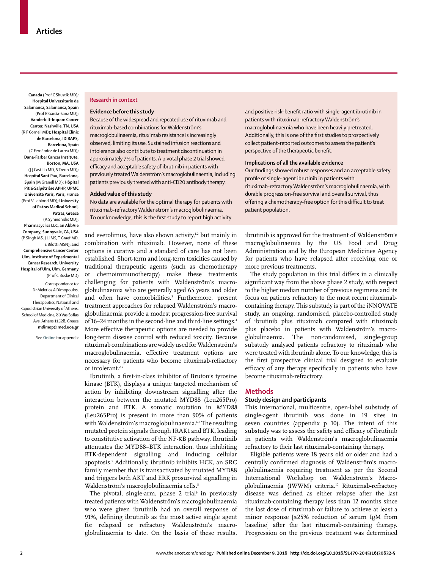**Canada** (Prof C Shustik MD)**; Hospital Universitario de Salamanca, Salamanca, Spain**  (Prof R García-Sanz MD)**; Vanderbilt-Ingram Cancer Center, Nashville, TN, USA**  (R F Cornell MD)**; Hospital Clínic de Barcelona, IDIBAPS, Barcelona, Spain**  (C Fernández de Larrea MD)**; Dana-Farber Cancer Institute, Boston, MA, USA**  (J J Castillo MD, S Treon MD)**; Hospital Sant Pau, Barcelona, Spain** (M Granell MD)**; Hôpital Pitié-Salpêtrière APHP, UPMC Université Paris, Paris, France**  (Prof V Leblond MD)**; University of Patras Medical School, Patras, Greece**  (A Symeonidis MD)**; Pharmacyclics LLC, an AbbVie Company, Sunnyvale, CA, USA** 

(P Singh MS, J Li MS, T Graef MD, E Bilotti MSN)**; and Comprehensive Cancer Center Ulm, Institute of Experimental Cancer Research, University Hospital of Ulm, Ulm, Germany**  (Prof C Buske MD)

Correspondence to: Dr Meletios A Dimopoulos, Department of Clinical Therapeutics, National and Kapodistrian University of Athens, School of Medicine, 80 Vas Sofias Ave, Athens 11528, Greece **mdimop@med.uoa.gr**

See **Online** for appendix

#### **Research in context**

#### **Evidence before this study**

Because of the widespread and repeated use of rituximab and rituximab-based combinations for Waldenström's macroglobulinaemia, rituximab resistance is increasingly observed, limiting its use. Sustained infusion reactions and intolerance also contribute to treatment discontinuation in approximately 7% of patients. A pivotal phase 2 trial showed efficacy and acceptable safety of ibrutinib in patients with previously treated Waldenström's macroglobulinaemia, including patients previously treated with anti-CD20 antibody therapy.

#### **Added value of this study**

No data are available for the optimal therapy for patients with rituximab-refractory Waldenström's macroglobulinaemia. To our knowledge, this is the first study to report high activity

and everolimus, have also shown activity,<sup>1,2</sup> but mainly in combination with rituximab. However, none of these options is curative and a standard of care has not been established. Short-term and long-term toxicities caused by traditional therapeutic agents (such as chemotherapy or chemoimmunotherapy) make these treatments challenging for patients with Waldenström's macroglobulinaemia who are generally aged 65 years and older and often have comorbidities.3 Furthermore, present treatment approaches for relapsed Waldenström's macroglobulinaemia provide a modest progression-free survival of 16–24 months in the second-line and third-line settings.4 More effective therapeutic options are needed to provide long-term disease control with reduced toxicity. Because rituximab combinations are widely used for Waldenström's macroglobulinaemia, effective treatment options are necessary for patients who become rituximab-refractory or intolerant.<sup>2,5</sup>

Ibrutinib, a first-in-class inhibitor of Bruton's tyrosine kinase (BTK), displays a unique targeted mechanism of action by inhibiting downstream signalling after the interaction between the mutated MYD88 (Leu265Pro) protein and BTK. A somatic mutation in *MYD88*  (Leu265Pro) is present in more than 90% of patients with Waldenström's macroglobulinaemia.<sup>6,7</sup> The resulting mutated protein signals through IRAK1 and BTK, leading to constitutive activation of the NF-κB pathway. Ibrutinib attenuates the MYD88–BTK interaction, thus inhibiting BTK-dependent signalling and inducing cellular apoptosis.7 Additionally, ibrutinib inhibits HCK, an SRC family member that is transactivated by mutated MYD88 and triggers both AKT and ERK prosurvival signalling in Waldenström's macroglobulinaemia cells.<sup>8</sup>

The pivotal, single-arm, phase 2 trial<sup>9</sup> in previously treated patients with Waldenström's macroglobulinaemia who were given ibrutinib had an overall response of 91%, defining ibrutinib as the most active single agent for relapsed or refractory Waldenström's macroglobulinaemia to date. On the basis of these results,

and positive risk-benefit ratio with single-agent ibrutinib in patients with rituximab-refractory Waldenström's macroglobulinaemia who have been heavily pretreated. Additionally, this is one of the first studies to prospectively collect patient-reported outcomes to assess the patient's perspective of the therapeutic benefit.

#### **Implications of all the available evidence**

Our findings showed robust responses and an acceptable safety profile of single-agent ibrutinib in patients with rituximab-refractory Waldenström's macroglobulinaemia, with durable progression-free survival and overall survival, thus offering a chemotherapy-free option for this difficult to treat patient population.

ibrutinib is approved for the treatment of Waldenström's macroglobulinaemia by the US Food and Drug Administration and by the European Medicines Agency for patients who have relapsed after receiving one or more previous treatments.

The study population in this trial differs in a clinically significant way from the above phase 2 study, with respect to the higher median number of previous regimens and its focus on patients refractory to the most recent rituximabcontaining therapy. This substudy is part of the iNNOVATE study, an ongoing, randomised, placebo-controlled study of ibrutinib plus rituximab compared with rituximab plus placebo in patients with Waldenström's macroglobulinaemia. The non-randomised, single-group substudy analysed patients refractory to rituximab who were treated with ibrutinib alone. To our knowledge, this is the first prospective clinical trial designed to evaluate efficacy of any therapy specifically in patients who have become rituximab-refractrory.

## **Methods**

#### **Study design and participants**

This international, multicentre, open-label substudy of single-agent ibrutinib was done in 19 sites in seven countries (appendix p 10). The intent of this substudy was to assess the safety and efficacy of ibrutinib in patients with Waldenström's macroglobulinaemia refractory to their last rituximab-containing therapy.

Eligible patients were 18 years old or older and had a centrally confirmed diagnosis of Waldenström's macroglobulinaemia requiring treatment as per the Second International Workshop on Waldenström's Macroglobulinaemia (IWWM) criteria.10 Rituximab**-**refractory disease was defined as either relapse after the last rituximab-containing therapy less than 12 months since the last dose of rituximab or failure to achieve at least a minor response [≥25% reduction of serum IgM from baseline] after the last rituximab-containing therapy. Progression on the previous treatment was determined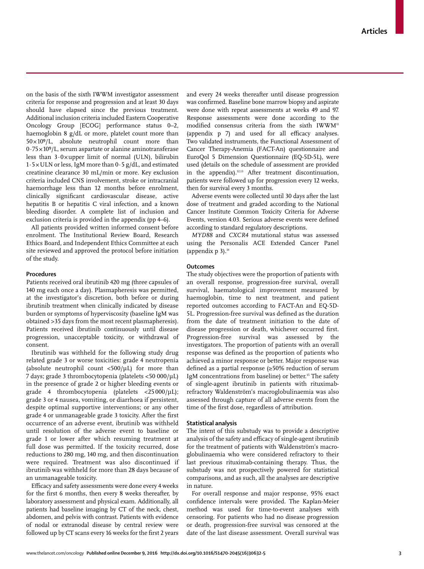on the basis of the sixth IWWM investigator assessment criteria for response and progression and at least 30 days should have elapsed since the previous treatment. Additional inclusion criteria included Eastern Cooperative Oncology Group [ECOG] performance status 0–2, haemoglobin 8 g/dL or more, platelet count more than  $50 \times 10^9$ /L, absolute neutrophil count more than  $0.75 \times 10^9$ /L, serum aspartate or alanine aminotransferase less than  $3.0 \times$ upper limit of normal (ULN), bilirubin  $1.5 \times$  ULN or less, IgM more than  $0.5$  g/dL, and estimated creatinine clearance 30 mL/min or more. Key exclusion criteria included CNS involvement, stroke or intracranial haemorrhage less than 12 months before enrolment, clinically significant cardiovascular disease, active hepatitis B or hepatitis C viral infection, and a known bleeding disorder. A complete list of inclusion and exclusion criteria is provided in the appendix (pp 4–6).

All patients provided written informed consent before enrolment. The Institutional Review Board, Research Ethics Board, and Independent Ethics Committee at each site reviewed and approved the protocol before initiation of the study.

#### **Procedures**

Patients received oral ibrutinib 420 mg (three capsules of 140 mg each once a day). Plasmapheresis was permitted, at the investigator's discretion, both before or during ibrutinib treatment when clinically indicated by disease burden or symptoms of hyperviscosity (baseline IgM was obtained >35 days from the most recent plasmapheresis). Patients received ibrutinib continuously until disease progression, unacceptable toxicity, or withdrawal of consent.

Ibrutinib was withheld for the following study drug related grade 3 or worse toxicities: grade 4 neutropenia (absolute neutrophil count  $\langle 500/\mu L \rangle$  for more than 7 days; grade 3 thrombocytopenia (platelets <50 000/μL) in the presence of grade 2 or higher bleeding events or grade 4 thrombocytopenia (platelets  $\langle 25000/\mu L \rangle$ ; grade 3 or 4 nausea, vomiting, or diarrhoea if persistent, despite optimal supportive interventions; or any other grade 4 or unmanageable grade 3 toxicity. After the first occurrence of an adverse event, ibrutinib was withheld until resolution of the adverse event to baseline or grade 1 or lower after which resuming treatment at full dose was permitted. If the toxicity recurred, dose reductions to 280 mg, 140 mg, and then discontinuation were required. Treatment was also discontinued if ibrutinib was withheld for more than 28 days because of an unmanageable toxicity.

Efficacy and safety assessments were done every 4 weeks for the first 6 months, then every 8 weeks thereafter, by laboratory assessment and physical exam. Additionally, all patients had baseline imaging by CT of the neck, chest, abdomen, and pelvis with contrast. Patients with evidence of nodal or extranodal disease by central review were followed up by CT scans every 16 weeks for the first 2 years and every 24 weeks thereafter until disease progression was confirmed. Baseline bone marrow biopsy and aspirate were done with repeat assessments at weeks 49 and 97. Response assessments were done according to the modified consensus criteria from the sixth  $IWWW^1$ (appendix  $p$  7) and used for all efficacy analyses. Two validated instruments, the Functional Assessment of Cancer Therapy-Anemia (FACT-An) questionnaire and EuroQol 5 Dimension Questionnaire (EQ-5D-5L), were used (details on the schedule of assessment are provided in the appendix). $12,13$  After treatment discontinuation, patients were followed up for progression every 12 weeks, then for survival every 3 months.

Adverse events were collected until 30 days after the last dose of treatment and graded according to the National Cancer Institute Common Toxicity Criteria for Adverse Events, version 4.03. Serious adverse events were defined according to standard regulatory descriptions.

*MYD88* and *CXCR4* mutational status was assessed using the Personalis ACE Extended Cancer Panel (appendix  $p$  3).<sup>14</sup>

## **Outcomes**

The study objectives were the proportion of patients with an overall response, progression-free survival, overall survival, haematological improvement measured by haemoglobin, time to next treatment, and patient reported outcomes according to FACT-An and EQ-5D-5L. Progression-free survival was defined as the duration from the date of treatment initiation to the date of disease progression or death, whichever occurred first. Progression-free survival was assessed by the investigators. The proportion of patients with an overall response was defined as the proportion of patients who achieved a minor response or better. Major response was defined as a partial response ( $\geq$ 50% reduction of serum IgM concentrations from baseline) or better.<sup>15</sup> The safety of single-agent ibrutinib in patients with rituximabrefractory Waldenström's macroglobulinaemia was also assessed through capture of all adverse events from the time of the first dose, regardless of attribution.

#### **Statistical analysis**

The intent of this substudy was to provide a descriptive analysis of the safety and efficacy of single-agent ibrutinib for the treatment of patients with Waldenström's macroglobulinaemia who were considered refractory to their last previous rituximab-containing therapy. Thus, the substudy was not prospectively powered for statistical comparisons, and as such, all the analyses are descriptive in nature.

For overall response and major response, 95% exact confidence intervals were provided. The Kaplan-Meier method was used for time-to-event analyses with censoring. For patients who had no disease progression or death, progression-free survival was censored at the date of the last disease assessment. Overall survival was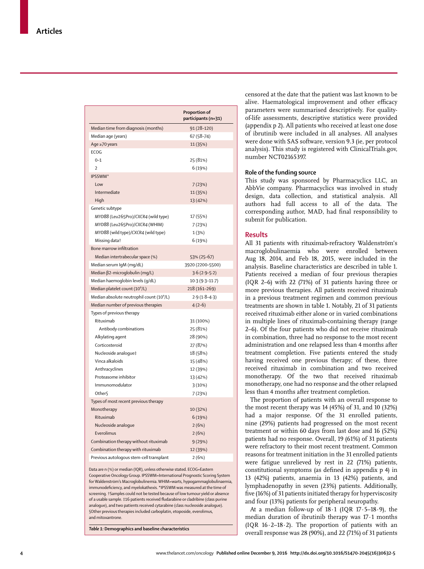|                                                       | Proportion of<br>participants (n=31) |
|-------------------------------------------------------|--------------------------------------|
| Median time from diagnosis (months)                   | 91 (28-120)                          |
| Median age (years)                                    | 67 (58-74)                           |
| Age ≥70 years                                         | 11 (35%)                             |
| ECOG                                                  |                                      |
| $0 - 1$                                               | 25 (81%)                             |
| 2                                                     | 6 (19%)                              |
| IPSSWM*                                               |                                      |
| Low                                                   | 7(23%)                               |
| Intermediate                                          | 11 (35%)                             |
| High                                                  | 13 (42%)                             |
| Genetic subtype                                       |                                      |
| MYD88 (Leu265Pro)/CXCR4 (wild type)                   | 17 (55%)                             |
| MYD88 (Leu265Pro)/CXCR4 (WHIM)                        | 7(23%)                               |
| MYD88 (wild type)/CXCR4 (wild type)                   | 1(3%)                                |
| Missing data†                                         | 6 (19%)                              |
| Bone marrow infiltration                              |                                      |
| Median intertrabecular space (%)                      | 53% (25-67)                          |
| Median serum IgM (mg/dL)                              | 3920 (2200-5500)                     |
| Median β2-microglobulin (mg/L)                        | $3.6(2.9-5.2)$                       |
| Median haemoglobin levels (g/dL)                      | $10.3(9.3 - 11.7)$                   |
| Median platelet count (10 <sup>9</sup> /L)            | 218 (161-269)                        |
| Median absolute neutrophil count (10 <sup>9</sup> /L) | $2.9(1.8-4.3)$                       |
| Median number of previous therapies                   | $4(2-6)$                             |
| Types of previous therapy                             |                                      |
| Rituximab                                             | 31 (100%)                            |
| Antibody combinations                                 | 25 (81%)                             |
| Alkylating agent                                      | 28 (90%)                             |
| Corticosteroid                                        | 27 (87%)                             |
| Nucleoside analoque‡                                  | 18 (58%)                             |
| Vinca alkaloids                                       | 15 (48%)                             |
| Anthracyclines                                        | 12 (39%)                             |
| Proteasome inhibitor                                  | 13 (42%)                             |
| Immunomodulator                                       | 3(10%)                               |
| Other <sub>§</sub>                                    | 7(23%)                               |
| Types of most recent previous therapy                 |                                      |
| Monotherapy                                           | 10 (32%)                             |
| Rituximab                                             | 6(19%)                               |
| Nucleoside analoque                                   | 2(6%)                                |
| Everolimus                                            | 2(6%)                                |
| Combination therapy without rituximab                 | 9(29%)                               |
| Combination therapy with rituximab                    | 12 (39%)                             |
| Previous autologous stem-cell transplant              | 2(6%)                                |

Data are n (%) or median (IQR), unless otherwise stated. ECOG=Eastern Cooperative Oncology Group. IPSSWM=International Prognostic Scoring System for Waldenström's Macroglobulinemia. WHIM=warts, hypogammaglobulinaemia, immunodeficiency, and myelokathexis. \*IPSSWM was measured at the time of screening. †Samples could not be tested because of low tumour yield or absence of a usable sample. ‡16 patients received fludarabine or cladribine (class purine analogue), and two patients received cytarabine (class nucleoside analogue). §Other previous therapies included carboplatin, etoposide, everolimus, and mitoxantrone.

*Table 1:* **Demographics and baseline characteristics**

censored at the date that the patient was last known to be alive. Haematological improvement and other efficacy parameters were summarised descriptively. For qualityof-life assessments, descriptive statistics were provided (appendix p 2). All patients who received at least one dose of ibrutinib were included in all analyses. All analyses were done with SAS software, version 9.3 (ie, per protocol analysis). This study is registered with ClinicalTrials.gov, number NCT02165397.

#### **Role of the funding source**

This study was sponsored by Pharmacyclics LLC, an AbbVie company. Pharmacyclics was involved in study design, data collection, and statistical analysis. All authors had full access to all of the data. The corresponding author, MAD, had final responsibility to submit for publication.

#### **Results**

All 31 patients with rituximab-refractory Waldenström's macroglobulinaemia who were enrolled between Aug 18, 2014, and Feb 18, 2015, were included in the analysis. Baseline characteristics are described in table 1. Patients received a median of four previous therapies (IQR 2–6) with 22 (71%) of 31 patients having three or more previous therapies. All patients received rituximab in a previous treatment regimen and common previous treatments are shown in table 1. Notably, 21 of 31 patients received rituximab either alone or in varied combinations in multiple lines of rituximab-containing therapy (range 2–6). Of the four patients who did not receive rituximab in combination, three had no response to the most recent administration and one relapsed less than 4 months after treatment completion. Five patients entered the study having received one previous therapy; of these, three received rituximab in combination and two received monotherapy. Of the two that received rituximab monotherapy, one had no response and the other relapsed less than 4 months after treatment completion.

The proportion of patients with an overall response to the most recent therapy was 14 (45%) of 31, and 10 (32%) had a major response. Of the 31 enrolled patients, nine (29%) patients had progressed on the most recent treatment or within 60 days from last dose and 16 (52%) patients had no response. Overall, 19 (61%) of 31 patients were refractory to their most recent treatment. Common reasons for treatment initiation in the 31 enrolled patients were fatigue unrelieved by rest in 22 (71%) patients, constitutional symptoms (as defined in appendix  $p$  4) in 13 (42%) patients, anaemia in 13 (42%) patients, and lymphadenopathy in seven (23%) patients. Additionally, five (16%) of 31 patients initiated therapy for hyperviscosity and four (13%) patients for peripheral neuropathy.

At a median follow-up of 18·1 (IQR 17·5–18·9), the median duration of ibrutinib therapy was 17·1 months (IQR 16·2–18·2). The proportion of patients with an overall response was 28 (90%), and 22 (71%) of 31 patients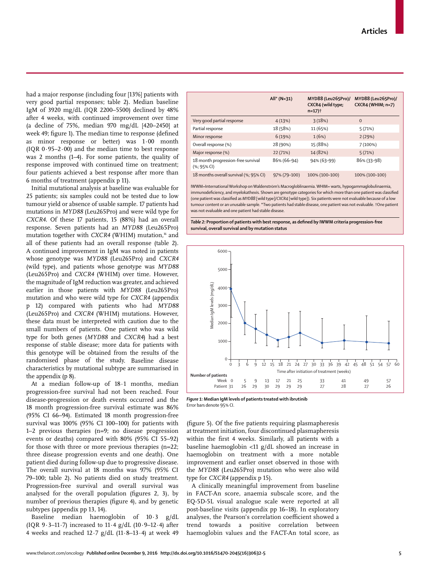had a major response (including four [13%] patients with very good partial responses; table 2). Median baseline IgM of 3920 mg/dL (IQR 2200–5500) declined by 48% after 4 weeks, with continued improvement over time (a decline of 75%, median 970 mg/dL [420–2450] at week 49; figure 1). The median time to response (defined as minor response or better) was 1·00 month (IQR  $0.95-2.00$ ) and the median time to best response was 2 months (1–4). For some patients, the quality of response improved with continued time on treatment; four patients achieved a best response after more than 6 months of treatment (appendix p 11).

Initial mutational analysis at baseline was evaluable for 25 patients; six samples could not be tested due to low tumour yield or absence of usable sample. 17 patients had mutations in *MYD88* (Leu265Pro) and were wild type for *CXCR4*. Of these 17 patients, 15 (88%) had an overall response. Seven patients had an *MYD88* (Leu265Pro) mutation together with *CXCR4* (WHIM) mutation,<sup>16</sup> and all of these patients had an overall response (table 2). A continued improvement in IgM was noted in patients whose genotype was *MYD88* (Leu265Pro) and *CXCR4* (wild type), and patients whose genotype was *MYD88*  (Leu265Pro) and *CXCR4* (WHIM) over time. However, the magnitude of IgM reduction was greater, and achieved earlier in those patients with *MYD88* (Leu265Pro) mutation and who were wild type for *CXCR4* (appendix p 12) compared with patients who had *MYD88*  (Leu265Pro) and *CXCR4* (WHIM) mutations. However, these data must be interpreted with caution due to the small numbers of patients. One patient who was wild type for both genes (*MYD88* and *CXCR4*) had a best response of stable disease; more data for patients with this genotype will be obtained from the results of the randomised phase of the study. Baseline disease characteristics by mutational subtype are summarised in the appendix (p 8).

At a median follow-up of 18·1 months, median progression-free survival had not been reached. Four disease-progression or death events occurred and the 18 month progression-free survival estimate was 86% (95% CI 66–94). Estimated 18 month progression-free survival was 100% (95% CI 100–100) for patients with 1–2 previous therapies (n=9; no disease progression events or deaths) compared with 80% (95% CI 55–92) for those with three or more previous therapies (n=22; three disease progression events and one death). One patient died during follow-up due to progressive disease. The overall survival at 18 months was 97% (95% CI 79–100; table 2). No patients died on study treatment. Progression-free survival and overall survival was analysed for the overall population (figures  $2$ ,  $3$ ), by number of previous therapies (figure 4), and by genetic subtypes (appendix pp 13, 14).

Baseline median haemoglobin of 10·3 g/dL (IQR  $9.3-11.7$ ) increased to  $11.4$  g/dL ( $10.9-12.4$ ) after 4 weeks and reached  $12.7$  g/dL  $(11.8-13.4)$  at week 49

|                                                          | All* (N=31)  | MYD88 (Leu265Pro)/<br>CXCR4 (wild type;<br>$n=17$ ) <sup>+</sup> | MYD88 (Leu265Pro)/<br>$CXCR4$ (WHIM; $n=7$ ) |
|----------------------------------------------------------|--------------|------------------------------------------------------------------|----------------------------------------------|
| Very good partial response                               | 4(13%)       | 3(18%)                                                           | $\mathbf 0$                                  |
| Partial response                                         | 18 (58%)     | 11 (65%)                                                         | 5(71%)                                       |
| Minor response                                           | 6(19%)       | 1(6%)                                                            | 2(29%)                                       |
| Overall response (%)                                     | 28 (90%)     | 15 (88%)                                                         | 7(100%)                                      |
| Major response (%)                                       | 22 (71%)     | 14 (82%)                                                         | 5(71%)                                       |
| 18 month progression-free survival<br>$(% )$ (%; 95% CI) | 86% (66–94)  | 94% (63-99)                                                      | 86% (33-98)                                  |
| 18 months overall survival (%; 95% CI)                   | 97% (79-100) | 100% (100-100)                                                   | 100% (100-100)                               |

IWWM=International Workshop on Waldenström's Macrogloblinaemia. WHIM= warts, hypogammaglobulinaemia, immunodeficiency, and myelokathexis. Shown are genotype categories for which more than one patient was classified (one patient was classified as *MYD88* [wild type]/CXCR4 [wild type]). Six patients were not evaluable because of a low tumour content or an unusable sample. **\***Two patients had stable disease, one patient was not evaluable. †One patient was not evaluable and one patient had stable disease.

Table 2: Proportion of patients with best response, as defined by IWWM criteria progression-free **survival, overall survival and by mutation status**



*Figure 1:* **Median IgM levels of patients treated with ibrutinib**  Error bars denote 95% CI.

(figure 5). Of the five patients requiring plasmapheresis at treatment initiation, four discontinued plasmapheresis within the first 4 weeks. Similarly, all patients with a baseline haemoglobin <11 g/dL showed an increase in haemoglobin on treatment with a more notable improvement and earlier onset observed in those with the *MYD88* (Leu265Pro) mutation who were also wild type for *CXCR4* (appendix p 15).

A clinically meaningful improvement from baseline in FACT-An score, anaemia subscale score, and the EQ-5D-5L visual analogue scale were reported at all post-baseline visits (appendix pp 16–18). In exploratory analyses, the Pearson's correlation coefficient showed a trend towards a positive correlation between haemoglobin values and the FACT-An total score, as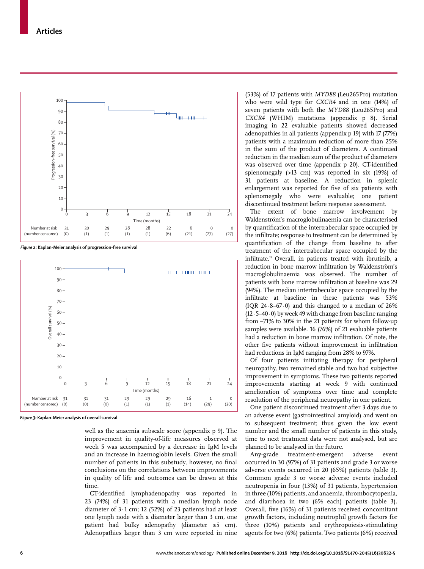

*Figure 2:* **Kaplan-Meier analysis of progression-free survival**



*Figure 3:* **Kaplan-Meier analysis of overall survival**

well as the anaemia subscale score (appendix p 9). The improvement in quality-of-life measures observed at week 5 was accompanied by a decrease in IgM levels and an increase in haemoglobin levels. Given the small number of patients in this substudy, however, no final conclusions on the correlations between improvements in quality of life and outcomes can be drawn at this time.

CT-identified lymphadenopathy was reported in 23 (74%) of 31 patients with a median lymph node diameter of 3·1 cm; 12 (52%) of 23 patients had at least one lymph node with a diameter larger than 3 cm, one patient had bulky adenopathy (diameter ≥5 cm). Adenopathies larger than 3 cm were reported in nine

(53%) of 17 patients with *MYD88* (Leu265Pro) mutation who were wild type for *CXCR4* and in one (14%) of seven patients with both the *MYD88* (Leu265Pro) and *CXCR4* (WHIM) mutations (appendix p 8). Serial imaging in 22 evaluable patients showed decreased adenopathies in all patients (appendix p 19) with 17 (77%) patients with a maximum reduction of more than 25% in the sum of the product of diameters. A continued reduction in the median sum of the product of diameters was observed over time (appendix p 20). CT-identified splenomegaly (>13 cm) was reported in six (19%) of 31 patients at baseline. A reduction in splenic enlargement was reported for five of six patients with splenomegaly who were evaluable; one patient discontinued treatment before response assessment.

The extent of bone marrow involvement by Waldenström's macroglobulinaemia can be characterised by quantification of the intertrabecular space occupied by the infiltrate; response to treatment can be determined by quantification of the change from baseline to after treatment of the intertrabecular space occupied by the infiltrate.<sup>11</sup> Overall, in patients treated with ibrutinib, a reduction in bone marrow infiltration by Waldenström's macroglobulinaemia was observed. The number of patients with bone marrow infiltration at baseline was 29 (94%). The median intertrabecular space occupied by the infiltrate at baseline in these patients was 53% (IQR 24·8–67·0) and this changed to a median of 26%  $(12.5-40.0)$  by week 49 with change from baseline ranging from –71% to 30% in the 21 patients for whom follow-up samples were available. 16 (76%) of 21 evaluable patients had a reduction in bone marrow infiltration. Of note, the other five patients without improvement in infiltration had reductions in IgM ranging from 28% to 97%.

Of four patients initiating therapy for peripheral neuropathy, two remained stable and two had subjective improvement in symptoms. These two patients reported improvements starting at week 9 with continued amelioration of symptoms over time and complete resolution of the peripheral neuropathy in one patient.

One patient discontinued treatment after 3 days due to an adverse event (gastrointestinal amyloid) and went on to subsequent treatment; thus given the low event number and the small number of patients in this study, time to next treatment data were not analysed, but are planned to be analysed in the future.

Any-grade treatment-emergent adverse event occurred in 30 (97%) of 31 patients and grade 3 or worse adverse events occurred in 20 (65%) patients (table 3). Common grade 3 or worse adverse events included neutropenia in four (13%) of 31 patients, hypertension in three (10%) patients, and anaemia, thrombocytopenia, and diarrhoea in two (6% each) patients (table 3). Overall, five (16%) of 31 patients received concomitant growth factors, including neutrophil growth factors for three (10%) patients and erythropoiesis-stimulating agents for two (6%) patients. Two patients (6%) received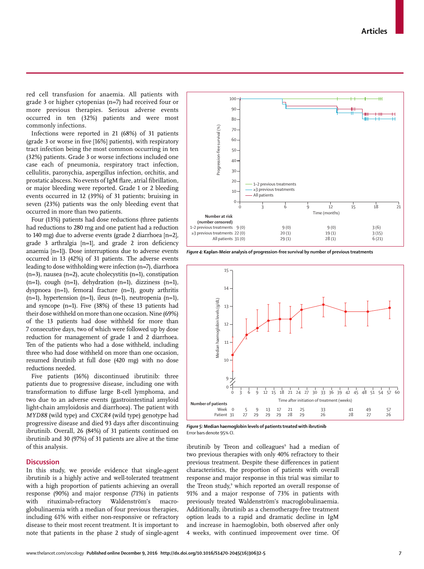www.thelancet.com/oncology **Published online December 9, 2016 http://dx.doi.org/10.1016/S1470-2045(16)30632-5 7**

red cell transfusion for anaemia. All patients with grade 3 or higher cytopenias (n=7) had received four or more previous therapies. Serious adverse events occurred in ten (32%) patients and were most commonly infections.

Infections were reported in 21 (68%) of 31 patients (grade 3 or worse in five  $[16\%]$  patients), with respiratory tract infection being the most common occurring in ten (32%) patients. Grade 3 or worse infections included one case each of pneumonia, respiratory tract infection, cellulitis, paronychia, aspergillus infection, orchitis, and prostatic abscess. No events of IgM flare, atrial fibrillation, or major bleeding were reported. Grade 1 or 2 bleeding events occurred in 12 (39%) of 31 patients; bruising in seven (23%) patients was the only bleeding event that occurred in more than two patients.

Four (13%) patients had dose reductions (three patients had reductions to 280 mg and one patient had a reduction to 140 mg) due to adverse events (grade 2 diarrhoea [n=2], grade 3 arthralgia  $[n=1]$ , and grade 2 iron deficiency anaemia [n=1]). Dose interruptions due to adverse events occurred in 13 (42%) of 31 patients. The adverse events leading to dose withholding were infection (n=7), diarrhoea (n=3), nausea (n=2), acute cholecystitis (n=1), constipation  $(n=1)$ , cough  $(n=1)$ , dehydration  $(n=1)$ , dizziness  $(n=1)$ , dyspnoea (n=1), femoral fracture (n=1), gouty arthritis (n=1), hypertension (n=1), ileus (n=1), neutropenia (n=1), and syncope (n=1). Five (38%) of these 13 patients had their dose withheld on more than one occasion. Nine (69%) of the 13 patients had dose withheld for more than 7 consecutive days, two of which were followed up by dose reduction for management of grade 1 and 2 diarrhoea. Ten of the patients who had a dose withheld, including three who had dose withheld on more than one occasion, resumed ibrutinib at full dose (420 mg) with no dose reductions needed.

Five patients (16%) discontinued ibrutinib: three patients due to progressive disease, including one with transformation to diffuse large B-cell lymphoma, and two due to an adverse events (gastrointestinal amyloid light-chain amyloidosis and diarrhoea)*.* The patient with *MYD88* (wild type) and *CXCR4* (wild type) genotype had progressive disease and died 93 days after discontinuing ibrutinib. Overall, 26 (84%) of 31 patients continued on ibrutinib and 30 (97%) of 31 patients are alive at the time of this analysis.

## **Discussion**

In this study, we provide evidence that single-agent ibrutinib is a highly active and well-tolerated treatment with a high proportion of patients achieving an overall response (90%) and major response (71%) in patients with rituximab-refractory Waldenström's macroglobulinaemia with a median of four previous therapies, including 61% with either non-responsive or refractory disease to their most recent treatment. It is important to note that patients in the phase 2 study of single-agent

*Figure 4:* **Kaplan-Meier analysis of progression-free survival by number of previous treatments** 

100

15

14

13



Error bars denote 95% CI.

ibrutinib by Treon and colleagues<sup>9</sup> had a median of two previous therapies with only 40% refractory to their previous treatment. Despite these differences in patient characteristics, the proportion of patients with overall response and major response in this trial was similar to the Treon study, 9 which reported an overall response of 91% and a major response of 73% in patients with previously treated Waldenström's macroglobulinaemia. Additionally, ibrutinib as a chemotherapy-free treatment option leads to a rapid and dramatic decline in IgM and increase in haemoglobin, both observed after only

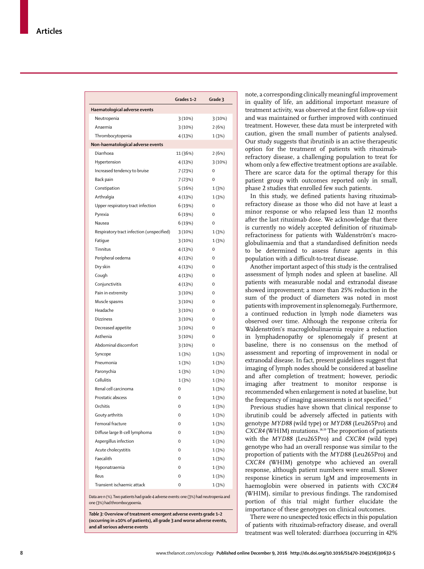|                                           | Grades 1-2 | Grade 3  |
|-------------------------------------------|------------|----------|
| Haematological adverse events             |            |          |
| Neutropenia                               | 3(10%)     | 3(10%)   |
| Anaemia                                   | 3(10%)     | 2(6%)    |
| Thrombocytopenia                          | 4 (13%)    | 1(3%)    |
| Non-haematological adverse events         |            |          |
| Diarrhoea                                 | 11 (36%)   | 2(6%)    |
| Hypertension                              | 4 (13%)    | 3(10%)   |
| Increased tendency to bruise              | 7(23%)     | 0        |
| Back pain                                 | 7(23%)     | 0        |
| Constipation                              | 5(16%)     | 1(3%)    |
| Arthralgia                                | 4(13%)     | 1(3%)    |
| Upper respiratory tract infection         | 6 (19%)    | 0        |
| Pyrexia                                   | 6 (19%)    | 0        |
| Nausea                                    | 6 (19%)    | 0        |
| Respiratory tract infection (unspecified) | 3(10%)     | 1(3%)    |
| Fatique                                   | 3(10%)     | 1(3%)    |
| Tinnitus                                  | 4 (13%)    | $\Omega$ |
| Peripheral oedema                         | 4 (13%)    | 0        |
| Dry skin                                  | 4 (13%)    | 0        |
| Cough                                     | 4 (13%)    | 0        |
| Conjunctivitis                            | 4(13%)     | $\Omega$ |
| Pain in extremity                         | 3(10%)     | $\Omega$ |
| Muscle spasms                             | 3(10%)     | $\Omega$ |
| Headache                                  | 3(10%)     | 0        |
| <b>Dizziness</b>                          | 3(10%)     | 0        |
| Decreased appetite                        | 3(10%)     | 0        |
| Asthenia                                  | 3(10%)     | 0        |
| Abdominal discomfort                      | 3(10%)     | 0        |
| Syncope                                   | 1(3%)      | 1(3%)    |
| Pneumonia                                 | 1(3%)      | 1(3%)    |
| Paronychia                                | 1(3%)      | 1(3%)    |
| Cellulitis                                | 1(3%)      | 1(3%)    |
| Renal cell carcinoma                      | 0          | 1(3%)    |
| Prostatic abscess                         | $\Omega$   | 1(3%)    |
| Orchitis                                  | 0          | 1(3%)    |
| Gouty arthritis                           | 0          | 1(3%)    |
| Femoral fracture                          | 0          | 1(3%)    |
| Diffuse large B-cell lymphoma             | 0          | 1(3%)    |
| Aspergillus infection                     | 0          | 1(3%)    |
| Acute cholecystitis                       | 0          | 1(3%)    |
| Faecalith                                 | 0          | 1(3%)    |
| Hyponatraemia                             | 0          | 1(3%)    |
| Ileus                                     | 0          | 1(3%)    |
| Transient ischaemic attack                | 0          | 1(3%)    |
|                                           |            |          |

Data are n (%). Two patients had grade 4 adverse events: one (3%) had neutropenia and one (3%) had thrombocypoenia.

*Table 3:* **Overview of treatment-emergent adverse events grade 1–2 (occurring in ≥10% of patients), all grade 3 and worse adverse events, and all serious adverse events** 

note, a corresponding clinically meaningful improvement in quality of life, an additional important measure of treatment activity, was observed at the first follow-up visit and was maintained or further improved with continued treatment. However, these data must be interpreted with caution, given the small number of patients analysed. Our study suggests that ibrutinib is an active therapeutic option for the treatment of patients with rituximabrefractory disease, a challenging population to treat for whom only a few effective treatment options are available. There are scarce data for the optimal therapy for this patient group with outcomes reported only in small, phase 2 studies that enrolled few such patients.

In this study, we defined patients having rituximabrefractory disease as those who did not have at least a minor response or who relapsed less than 12 months after the last rituximab dose. We acknowledge that there is currently no widely accepted definition of rituximabrefractoriness for patients with Waldenström's macroglobulinaemia and that a standardised definition needs to be determined to assess future agents in this population with a difficult-to-treat disease.

Another important aspect of this study is the centralised assessment of lymph nodes and spleen at baseline. All patients with measurable nodal and extranodal disease showed improvement; a more than 25% reduction in the sum of the product of diameters was noted in most patients with improvement in splenomegaly. Furthermore, a continued reduction in lymph node diameters was observed over time. Although the response criteria for Waldenström's macroglobulinaemia require a reduction in lymphadenopathy or splenomegaly if present at baseline, there is no consensus on the method of assessment and reporting of improvement in nodal or extranodal disease. In fact, present guidelines suggest that imaging of lymph nodes should be considered at baseline and after completion of treatment; however, periodic imaging after treatment to monitor response is recommended when enlargement is noted at baseline, but the frequency of imaging assessments is not specified.<sup>17</sup>

Previous studies have shown that clinical response to ibrutinib could be adversely affected in patients with genotype *MYD88* (wild type) or *MYD88* (Leu265Pro) and *CXCR4* (WHIM) mutations.18,19 The proportion of patients with the *MYD88* (Leu265Pro) and *CXCR4* (wild type) genotype who had an overall response was similar to the proportion of patients with the *MYD88* (Leu265Pro) and *CXCR4* (WHIM) genotype who achieved an overall response, although patient numbers were small. Slower response kinetics in serum IgM and improvements in haemoglobin were observed in patients with *CXCR4*  (WHIM), similar to previous findings. The randomised portion of this trial might further elucidate the importance of these genotypes on clinical outcomes.

There were no unexpected toxic effects in this population of patients with rituximab-refractory disease, and overall treatment was well tolerated: diarrhoea (occurring in 42%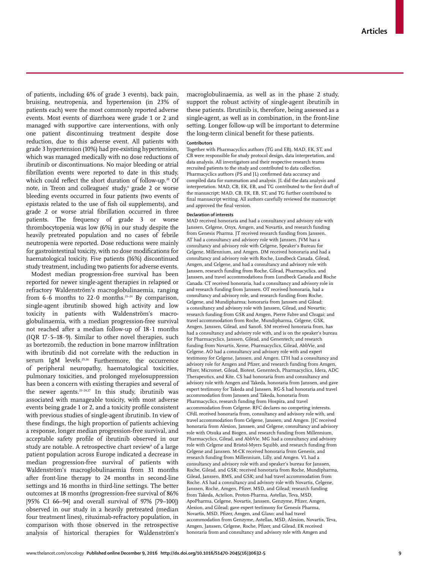of patients**,** including 6% of grade 3 events), back pain, bruising, neutropenia, and hypertension (in 23% of patients each) were the most commonly reported adverse events. Most events of diarrhoea were grade 1 or 2 and managed with supportive care interventions, with only one patient discontinuing treatment despite dose reduction, due to this adverse event. All patients with grade 3 hypertension (10%) had pre-existing hypertension, which was managed medically with no dose reductions of ibrutinib or discontinuations. No major bleeding or atrial fibrillation events were reported to date in this study, which could reflect the short duration of follow-up.<sup>20</sup> Of note, in Treon and colleagues' study,<sup>9</sup> grade 2 or worse bleeding events occurred in four patients (two events of epistaxis related to the use of fish oil supplements), and grade 2 or worse atrial fibrillation occurred in three patients. The frequency of grade 3 or worse thrombocytopenia was low (6%) in our study despite the heavily pretreated population and no cases of febrile neutropenia were reported. Dose reductions were mainly for gastrointestinal toxicity, with no dose modifications for haematological toxicity. Five patients (16%) discontinued study treatment, including two patients for adverse events.

Modest median progression-free survival has been reported for newer single-agent therapies in relapsed or refractory Waldenström's macroglobulinaemia, ranging from  $6.6$  months to  $22.0$  months.<sup>21-24</sup> By comparison, single-agent ibrutinib showed high activity and low toxicity in patients with Waldenström's macroglobulinaemia, with a median progression-free survival not reached after a median follow-up of 18·1 months (IQR 17 $\cdot$ 5–18 $\cdot$ 9). Similar to other novel therapies, such as bortezomib, the reduction in bone marrow infiltration with ibrutinib did not correlate with the reduction in serum IgM levels.<sup>25,26</sup> Furthermore, the occurrence of peripheral neuropathy, haematological toxicities, pulmonary toxicities, and prolonged myelosuppression has been a concern with existing therapies and several of the newer agents.21–24,27 In this study, ibrutinib was associated with manageable toxicity, with most adverse events being grade 1 or 2, and a toxicity profile consistent with previous studies of single-agent ibrutinib. In view of these findings, the high proportion of patients achieving a response, longer median progression-free survival, and acceptable safety profile of ibrutinib observed in our study are notable. A retrospective chart review<sup>4</sup> of a large patient population across Europe indicated a decrease in median progression-free survival of patients with Waldenström's macroglobulinaemia from 31 months after front-line therapy to 24 months in second-line settings and 16 months in third-line settings. The better outcomes at 18 months (progression-free survival of 86% [95% CI 66–94] and overall survival of 97% [79–100]) observed in our study in a heavily pretreated (median four treatment lines), rituximab-refractory population, in comparison with those observed in the retrospective analysis of historical therapies for Waldenström's

macroglobulinaemia, as well as in the phase 2 study, support the robust activity of single-agent ibrutinib in these patients. Ibrutinib is, therefore, being assessed as a single-agent, as well as in combination, in the front-line setting. Longer follow-up will be important to determine the long-term clinical benefit for these patients.

#### **Contributors**

Together with Pharmacyclics authors (TG and EB), MAD, EK, ST, and CB were responsible for study protocol design, data interpretation, and data analysis. All investigators and their respective research teams recruited patients to the study and contributed to data collection. Pharmacyclics authors (PS and JL) confirmed data accuracy and compiled data for summation and analysis. JL did the data analysis and interpretation. MAD, CB, EK, EB, and TG contributed to the first draft of the manuscript; MAD, CB, EK, EB, ST, and TG further contributed to final manuscript writing. All authors carefully reviewed the manuscript and approved the final version.

#### **Declaration of interests**

MAD received honoraria and had a consultancy and advisory role with Janssen, Celgene, Onyx, Amgen, and Novartis, and research funding from Genesis Pharma. JT received research funding from Janssen. AT had a consultancy and advisory role with Janssen. JVM has a consultancy and advisory role with Celgene, Speaker's Bureau for Celgene, Millennium, and Amgen. DM received honoraria and had a consultancy and advisory role with Roche, Lundbeck Canada, Gilead, Amgen, and Celgene, and had a consultancy and advisory role with Janssen, research funding from Roche, Gilead, Pharmacyclics, and Janssen, and travel accommodations from Lundbeck Canada and Roche Canada. CT received honoraria, had a consultancy and advisory role in and research funding from Janssen. OT received honoraria, had a consultancy and advisory role, and research funding from Roche, Celgene, and Mundipharma; honoraria from Janssen and Gilead; a consultancy and advisory role with Janssen, Gilead, and Novartis; research funding from GSK and Amgen, Pierre Fabre and Chugai; and travel accommodation from Roche, Mundipharma, Celgene, GSK, Amgen, Janssen, Gilead, and Sanofi. SM received honoraria from, has had a consultancy and advisory role with, and is on the speaker's bureau for Pharmacyclics, Janssen, Gilead, and Genentech; and research funding from Novartis, Xeme, Pharmacyclics, Gilead, AbbVie, and Celgene. AO had a consultancy and advisory role with and expert testimony for Celgene, Janssen, and Amgen. LTH had a consultancy and advisory role for Amgen and Pfizer, and research funding from Amgen, Pfizer, Micromet, Gilead, Biotest, Genentech, Pharmacyclics, Idera, ADC Therapeutics, and Kite. CS had honoraria from and consultancy and advisory role with Amgen and Takeda, honoraria from Janssen, and gave expert testimony for Takeda and Janssen. RG-S had honoraria and travel accommodation from Janssen and Takeda, honoraria from Pharmacyclics, research funding from Hospira, and travel accommodation from Celgene. RFC declares no competing interests. CFdL received honoraria from, consultancy and advisory role with, and travel accommodation from Celgene, Janssen, and Amgen. JJC received honoraria from Alexion, Janssen, and Celgene, consultancy and advisory role with Otsuka and Biogen, and research funding from Millennium, Pharmacyclics, Gilead, and AbbVie. MG had a consultancy and advisory role with Celgene and Bristol-Myers Squibb, and research funding from Celgene and Janssen. M-CK received honoraria from Genesis, and research funding from Millennium, Lilly, and Amgen. VL had a consultancy and advisory role with and speaker's bureau for Janssen, Roche, Gilead, and GSK; received honoraria from Roche, Mundipharma, Gilead, Janssen, BMS, and GSK; and had travel accommodation from Roche. AS had a consultancy and advisory role with Novartis, Celgene, Janssen, Roche, Amgen, Pfizer, MSD, and Gilead; research funding from Takeda, Actelion, Proton-Pharma, Astellas, Teva, MSD, ApoPharma, Celgene, Novartis, Janssen, Genzyme, Pfizer, Amgen, Alexion, and Gilead; gave expert testimony for Genesis Pharma, Novartis, MSD, Pfizer, Amgen, and Glaxo; and had travel accommodation from Genzyme, Astellas, MSD, Alexion, Novartis, Teva, Amgen, Janssen, Celgene, Roche, Pfizer, and Gilead. EK received honoraria from and consultancy and advisory role with Amgen and